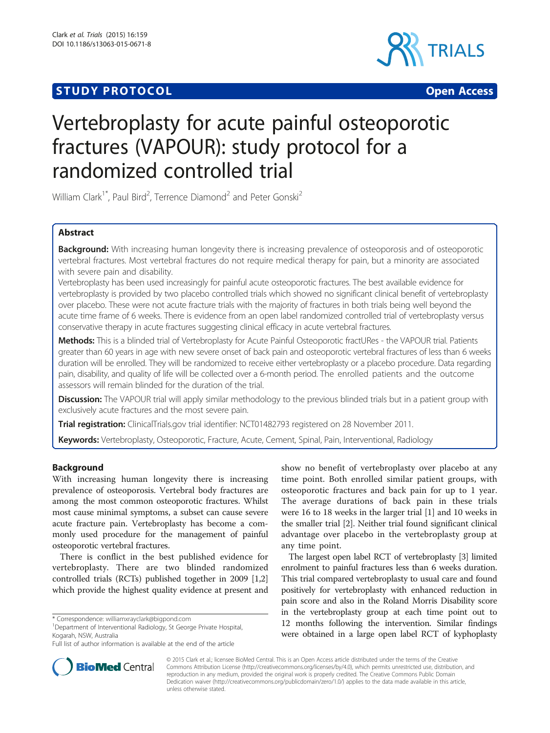# **STUDY PROTOCOL CONSUMING THE CONSUMING OPEN ACCESS**



# Vertebroplasty for acute painful osteoporotic fractures (VAPOUR): study protocol for a randomized controlled trial

William Clark<sup>1\*</sup>, Paul Bird<sup>2</sup>, Terrence Diamond<sup>2</sup> and Peter Gonski<sup>2</sup>

# Abstract

Background: With increasing human longevity there is increasing prevalence of osteoporosis and of osteoporotic vertebral fractures. Most vertebral fractures do not require medical therapy for pain, but a minority are associated with severe pain and disability.

Vertebroplasty has been used increasingly for painful acute osteoporotic fractures. The best available evidence for vertebroplasty is provided by two placebo controlled trials which showed no significant clinical benefit of vertebroplasty over placebo. These were not acute fracture trials with the majority of fractures in both trials being well beyond the acute time frame of 6 weeks. There is evidence from an open label randomized controlled trial of vertebroplasty versus conservative therapy in acute fractures suggesting clinical efficacy in acute vertebral fractures.

Methods: This is a blinded trial of Vertebroplasty for Acute Painful Osteoporotic fractURes - the VAPOUR trial. Patients greater than 60 years in age with new severe onset of back pain and osteoporotic vertebral fractures of less than 6 weeks duration will be enrolled. They will be randomized to receive either vertebroplasty or a placebo procedure. Data regarding pain, disability, and quality of life will be collected over a 6-month period. The enrolled patients and the outcome assessors will remain blinded for the duration of the trial.

Discussion: The VAPOUR trial will apply similar methodology to the previous blinded trials but in a patient group with exclusively acute fractures and the most severe pain.

Trial registration: ClinicalTrials.gov trial identifier: [NCT01482793](https://clinicaltrials.gov/ct2/show/NCT01482793) registered on 28 November 2011.

Keywords: Vertebroplasty, Osteoporotic, Fracture, Acute, Cement, Spinal, Pain, Interventional, Radiology

# Background

With increasing human longevity there is increasing prevalence of osteoporosis. Vertebral body fractures are among the most common osteoporotic fractures. Whilst most cause minimal symptoms, a subset can cause severe acute fracture pain. Vertebroplasty has become a commonly used procedure for the management of painful osteoporotic vertebral fractures.

There is conflict in the best published evidence for vertebroplasty. There are two blinded randomized controlled trials (RCTs) published together in 2009 [[1,2](#page-6-0)] which provide the highest quality evidence at present and

<sup>1</sup>Department of Interventional Radiology, St George Private Hospital, Kogarah, NSW, Australia

show no benefit of vertebroplasty over placebo at any time point. Both enrolled similar patient groups, with osteoporotic fractures and back pain for up to 1 year. The average durations of back pain in these trials were 16 to 18 weeks in the larger trial [\[1\]](#page-6-0) and 10 weeks in the smaller trial [\[2](#page-6-0)]. Neither trial found significant clinical advantage over placebo in the vertebroplasty group at any time point.

The largest open label RCT of vertebroplasty [\[3\]](#page-6-0) limited enrolment to painful fractures less than 6 weeks duration. This trial compared vertebroplasty to usual care and found positively for vertebroplasty with enhanced reduction in pain score and also in the Roland Morris Disability score in the vertebroplasty group at each time point out to 12 months following the intervention. Similar findings were obtained in a large open label RCT of kyphoplasty



© 2015 Clark et al.; licensee BioMed Central. This is an Open Access article distributed under the terms of the Creative Commons Attribution License [\(http://creativecommons.org/licenses/by/4.0\)](http://creativecommons.org/licenses/by/4.0), which permits unrestricted use, distribution, and reproduction in any medium, provided the original work is properly credited. The Creative Commons Public Domain Dedication waiver [\(http://creativecommons.org/publicdomain/zero/1.0/](http://creativecommons.org/publicdomain/zero/1.0/)) applies to the data made available in this article, unless otherwise stated.

<sup>\*</sup> Correspondence: [williamxrayclark@bigpond.com](mailto:williamxrayclark@bigpond.com) <sup>1</sup>

Full list of author information is available at the end of the article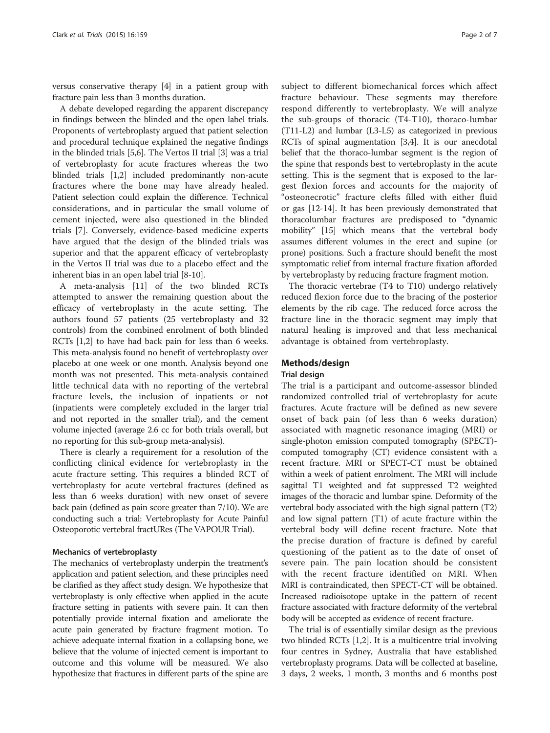versus conservative therapy [[4](#page-6-0)] in a patient group with fracture pain less than 3 months duration.

A debate developed regarding the apparent discrepancy in findings between the blinded and the open label trials. Proponents of vertebroplasty argued that patient selection and procedural technique explained the negative findings in the blinded trials [\[5,6\]](#page-6-0). The Vertos II trial [\[3\]](#page-6-0) was a trial of vertebroplasty for acute fractures whereas the two blinded trials [\[1,2](#page-6-0)] included predominantly non-acute fractures where the bone may have already healed. Patient selection could explain the difference. Technical considerations, and in particular the small volume of cement injected, were also questioned in the blinded trials [[7\]](#page-6-0). Conversely, evidence-based medicine experts have argued that the design of the blinded trials was superior and that the apparent efficacy of vertebroplasty in the Vertos II trial was due to a placebo effect and the inherent bias in an open label trial [\[8-10](#page-6-0)].

A meta-analysis [[11](#page-6-0)] of the two blinded RCTs attempted to answer the remaining question about the efficacy of vertebroplasty in the acute setting. The authors found 57 patients (25 vertebroplasty and 32 controls) from the combined enrolment of both blinded RCTs [[1,2\]](#page-6-0) to have had back pain for less than 6 weeks. This meta-analysis found no benefit of vertebroplasty over placebo at one week or one month. Analysis beyond one month was not presented. This meta-analysis contained little technical data with no reporting of the vertebral fracture levels, the inclusion of inpatients or not (inpatients were completely excluded in the larger trial and not reported in the smaller trial), and the cement volume injected (average 2.6 cc for both trials overall, but no reporting for this sub-group meta-analysis).

There is clearly a requirement for a resolution of the conflicting clinical evidence for vertebroplasty in the acute fracture setting. This requires a blinded RCT of vertebroplasty for acute vertebral fractures (defined as less than 6 weeks duration) with new onset of severe back pain (defined as pain score greater than 7/10). We are conducting such a trial: Vertebroplasty for Acute Painful Osteoporotic vertebral fractURes (The VAPOUR Trial).

#### Mechanics of vertebroplasty

The mechanics of vertebroplasty underpin the treatment's application and patient selection, and these principles need be clarified as they affect study design. We hypothesize that vertebroplasty is only effective when applied in the acute fracture setting in patients with severe pain. It can then potentially provide internal fixation and ameliorate the acute pain generated by fracture fragment motion. To achieve adequate internal fixation in a collapsing bone, we believe that the volume of injected cement is important to outcome and this volume will be measured. We also hypothesize that fractures in different parts of the spine are

subject to different biomechanical forces which affect fracture behaviour. These segments may therefore respond differently to vertebroplasty. We will analyze the sub-groups of thoracic (T4-T10), thoraco-lumbar (T11-L2) and lumbar (L3-L5) as categorized in previous RCTs of spinal augmentation [[3](#page-6-0),[4](#page-6-0)]. It is our anecdotal belief that the thoraco-lumbar segment is the region of the spine that responds best to vertebroplasty in the acute setting. This is the segment that is exposed to the largest flexion forces and accounts for the majority of "osteonecrotic" fracture clefts filled with either fluid or gas [\[12-14\]](#page-6-0). It has been previously demonstrated that thoracolumbar fractures are predisposed to "dynamic mobility" [\[15\]](#page-6-0) which means that the vertebral body assumes different volumes in the erect and supine (or prone) positions. Such a fracture should benefit the most symptomatic relief from internal fracture fixation afforded by vertebroplasty by reducing fracture fragment motion.

The thoracic vertebrae (T4 to T10) undergo relatively reduced flexion force due to the bracing of the posterior elements by the rib cage. The reduced force across the fracture line in the thoracic segment may imply that natural healing is improved and that less mechanical advantage is obtained from vertebroplasty.

# Methods/design

#### Trial design

The trial is a participant and outcome-assessor blinded randomized controlled trial of vertebroplasty for acute fractures. Acute fracture will be defined as new severe onset of back pain (of less than 6 weeks duration) associated with magnetic resonance imaging (MRI) or single-photon emission computed tomography (SPECT) computed tomography (CT) evidence consistent with a recent fracture. MRI or SPECT-CT must be obtained within a week of patient enrolment. The MRI will include sagittal T1 weighted and fat suppressed T2 weighted images of the thoracic and lumbar spine. Deformity of the vertebral body associated with the high signal pattern (T2) and low signal pattern (T1) of acute fracture within the vertebral body will define recent fracture. Note that the precise duration of fracture is defined by careful questioning of the patient as to the date of onset of severe pain. The pain location should be consistent with the recent fracture identified on MRI. When MRI is contraindicated, then SPECT-CT will be obtained. Increased radioisotope uptake in the pattern of recent fracture associated with fracture deformity of the vertebral body will be accepted as evidence of recent fracture.

The trial is of essentially similar design as the previous two blinded RCTs [[1,2\]](#page-6-0). It is a multicentre trial involving four centres in Sydney, Australia that have established vertebroplasty programs. Data will be collected at baseline, 3 days, 2 weeks, 1 month, 3 months and 6 months post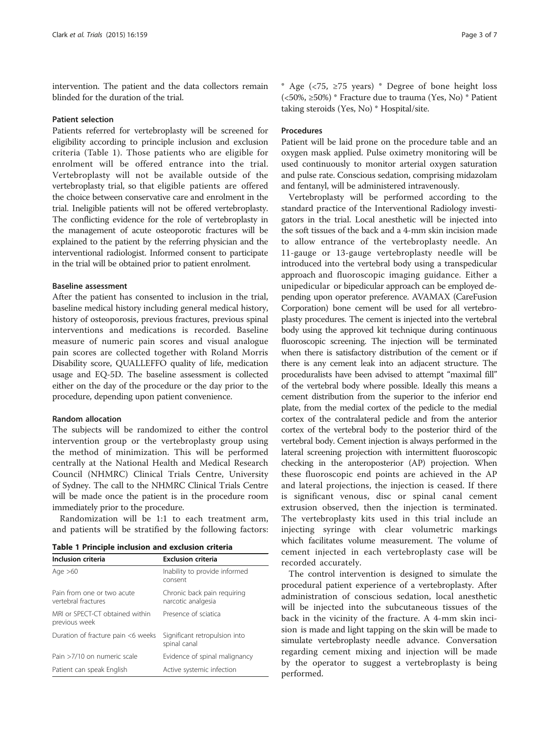intervention. The patient and the data collectors remain blinded for the duration of the trial.

# Patient selection

Patients referred for vertebroplasty will be screened for eligibility according to principle inclusion and exclusion criteria (Table 1). Those patients who are eligible for enrolment will be offered entrance into the trial. Vertebroplasty will not be available outside of the vertebroplasty trial, so that eligible patients are offered the choice between conservative care and enrolment in the trial. Ineligible patients will not be offered vertebroplasty. The conflicting evidence for the role of vertebroplasty in the management of acute osteoporotic fractures will be explained to the patient by the referring physician and the interventional radiologist. Informed consent to participate in the trial will be obtained prior to patient enrolment.

# Baseline assessment

After the patient has consented to inclusion in the trial, baseline medical history including general medical history, history of osteoporosis, previous fractures, previous spinal interventions and medications is recorded. Baseline measure of numeric pain scores and visual analogue pain scores are collected together with Roland Morris Disability score, QUALLEFFO quality of life, medication usage and EQ-5D. The baseline assessment is collected either on the day of the procedure or the day prior to the procedure, depending upon patient convenience.

# Random allocation

The subjects will be randomized to either the control intervention group or the vertebroplasty group using the method of minimization. This will be performed centrally at the National Health and Medical Research Council (NHMRC) Clinical Trials Centre, University of Sydney. The call to the NHMRC Clinical Trials Centre will be made once the patient is in the procedure room immediately prior to the procedure.

Randomization will be 1:1 to each treatment arm, and patients will be stratified by the following factors:

|  |  |  |  |  | Table 1 Principle inclusion and exclusion criteria |  |
|--|--|--|--|--|----------------------------------------------------|--|
|--|--|--|--|--|----------------------------------------------------|--|

| Inclusion criteria                                | <b>Exclusion criteria</b>                         |  |  |  |
|---------------------------------------------------|---------------------------------------------------|--|--|--|
| Age $>60$                                         | Inability to provide informed<br>consent          |  |  |  |
| Pain from one or two acute<br>vertebral fractures | Chronic back pain requiring<br>narcotic analgesia |  |  |  |
| MRI or SPECT-CT obtained within<br>previous week  | Presence of sciatica                              |  |  |  |
| Duration of fracture pain <6 weeks                | Significant retropulsion into<br>spinal canal     |  |  |  |
| Pain >7/10 on numeric scale                       | Evidence of spinal malignancy                     |  |  |  |
| Patient can speak English                         | Active systemic infection                         |  |  |  |

\* Age ( $\langle 75, \rangle$  >75 years) \* Degree of bone height loss (<50%, ≥50%) \* Fracture due to trauma (Yes, No) \* Patient taking steroids (Yes, No) \* Hospital/site.

# Procedures

Patient will be laid prone on the procedure table and an oxygen mask applied. Pulse oximetry monitoring will be used continuously to monitor arterial oxygen saturation and pulse rate. Conscious sedation, comprising midazolam and fentanyl, will be administered intravenously.

Vertebroplasty will be performed according to the standard practice of the Interventional Radiology investigators in the trial. Local anesthetic will be injected into the soft tissues of the back and a 4-mm skin incision made to allow entrance of the vertebroplasty needle. An 11-gauge or 13-gauge vertebroplasty needle will be introduced into the vertebral body using a transpedicular approach and fluoroscopic imaging guidance. Either a unipedicular or bipedicular approach can be employed depending upon operator preference. AVAMAX (CareFusion Corporation) bone cement will be used for all vertebroplasty procedures. The cement is injected into the vertebral body using the approved kit technique during continuous fluoroscopic screening. The injection will be terminated when there is satisfactory distribution of the cement or if there is any cement leak into an adjacent structure. The proceduralists have been advised to attempt "maximal fill" of the vertebral body where possible. Ideally this means a cement distribution from the superior to the inferior end plate, from the medial cortex of the pedicle to the medial cortex of the contralateral pedicle and from the anterior cortex of the vertebral body to the posterior third of the vertebral body. Cement injection is always performed in the lateral screening projection with intermittent fluoroscopic checking in the anteroposterior (AP) projection. When these fluoroscopic end points are achieved in the AP and lateral projections, the injection is ceased. If there is significant venous, disc or spinal canal cement extrusion observed, then the injection is terminated. The vertebroplasty kits used in this trial include an injecting syringe with clear volumetric markings which facilitates volume measurement. The volume of cement injected in each vertebroplasty case will be recorded accurately.

The control intervention is designed to simulate the procedural patient experience of a vertebroplasty. After administration of conscious sedation, local anesthetic will be injected into the subcutaneous tissues of the back in the vicinity of the fracture. A 4-mm skin incision is made and light tapping on the skin will be made to simulate vertebroplasty needle advance. Conversation regarding cement mixing and injection will be made by the operator to suggest a vertebroplasty is being performed.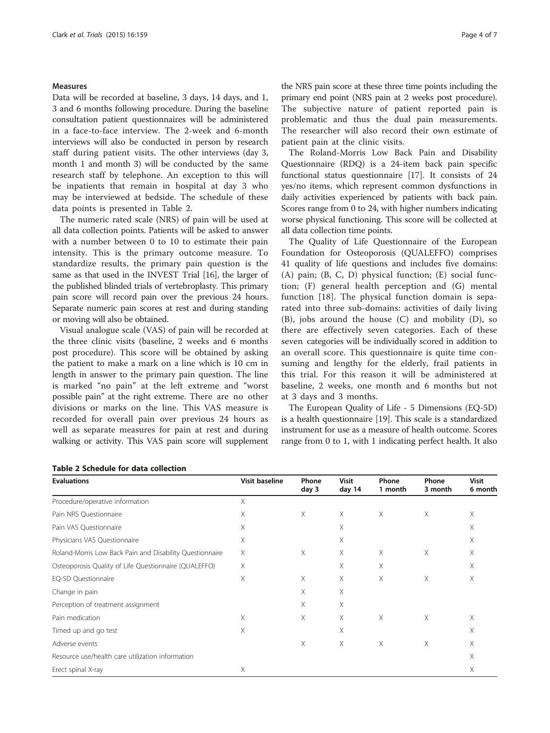#### **Measures**

Data will be recorded at baseline, 3 days, 14 days, and 1, 3 and 6 months following procedure. During the baseline consultation patient questionnaires will be administered in a face-to-face interview. The 2-week and 6-month interviews will also be conducted in person by research staff during patient visits. The other interviews (day 3, month 1 and month 3) will be conducted by the same research staff by telephone. An exception to this will be inpatients that remain in hospital at day 3 who may be interviewed at bedside. The schedule of these data points is presented in Table 2.

The numeric rated scale (NRS) of pain will be used at all data collection points. Patients will be asked to answer with a number between 0 to 10 to estimate their pain intensity. This is the primary outcome measure. To standardize results, the primary pain question is the same as that used in the INVEST Trial [[16](#page-6-0)], the larger of the published blinded trials of vertebroplasty. This primary pain score will record pain over the previous 24 hours. Separate numeric pain scores at rest and during standing or moving will also be obtained.

Visual analogue scale (VAS) of pain will be recorded at the three clinic visits (baseline, 2 weeks and 6 months post procedure). This score will be obtained by asking the patient to make a mark on a line which is 10 cm in length in answer to the primary pain question. The line is marked "no pain" at the left extreme and "worst possible pain" at the right extreme. There are no other divisions or marks on the line. This VAS measure is recorded for overall pain over previous 24 hours as well as separate measures for pain at rest and during walking or activity. This VAS pain score will supplement the NRS pain score at these three time points including the primary end point (NRS pain at 2 weeks post procedure). The subjective nature of patient reported pain is problematic and thus the dual pain measurements. The researcher will also record their own estimate of patient pain at the clinic visits.

The Roland-Morris Low Back Pain and Disability Questionnaire (RDQ) is a 24-item back pain specific functional status questionnaire [[17\]](#page-6-0). It consists of 24 yes/no items, which represent common dysfunctions in daily activities experienced by patients with back pain. Scores range from 0 to 24, with higher numbers indicating worse physical functioning. This score will be collected at all data collection time points.

The Quality of Life Questionnaire of the European Foundation for Osteoporosis (QUALEFFO) comprises 41 quality of life questions and includes five domains: (A) pain; (B, C, D) physical function; (E) social function; (F) general health perception and (G) mental function [\[18](#page-6-0)]. The physical function domain is separated into three sub-domains: activities of daily living (B), jobs around the house (C) and mobility (D), so there are effectively seven categories. Each of these seven categories will be individually scored in addition to an overall score. This questionnaire is quite time consuming and lengthy for the elderly, frail patients in this trial. For this reason it will be administered at baseline, 2 weeks, one month and 6 months but not at 3 days and 3 months.

The European Quality of Life - 5 Dimensions (EQ-5D) is a health questionnaire [[19](#page-6-0)]. This scale is a standardized instrument for use as a measure of health outcome. Scores range from 0 to 1, with 1 indicating perfect health. It also

| <b>Evaluations</b>                                       | <b>Visit baseline</b><br>X | <b>Phone</b><br>day 3 | <b>Visit</b><br>day 14 | Phone<br>1 month | Phone<br>3 month | <b>Visit</b><br>6 month |
|----------------------------------------------------------|----------------------------|-----------------------|------------------------|------------------|------------------|-------------------------|
| Procedure/operative information                          |                            |                       |                        |                  |                  |                         |
| Pain NRS Questionnaire                                   | Χ                          | Χ                     | X                      | X                | X                | X                       |
| Pain VAS Questionnaire                                   | Χ                          |                       | Χ                      |                  |                  | Χ                       |
| Physicians VAS Questionnaire                             | Χ                          |                       | X                      |                  |                  | X                       |
| Roland-Morris Low Back Pain and Disability Questionnaire | X                          | X                     | X                      | X                | X                | X                       |
| Osteoporosis Quality of Life Questionnaire (QUALEFFO)    | X                          |                       | X                      | X                |                  | X                       |
| EQ-5D Questionnaire                                      | Χ                          | X                     | X                      | X                | X                | X                       |
| Change in pain                                           |                            | Χ                     | Χ                      |                  |                  |                         |
| Perception of treatment assignment                       |                            | X                     | X                      |                  |                  |                         |
| Pain medication                                          | Χ                          | X                     | X                      | X                | X                | X                       |
| Timed up and go test                                     | Χ                          |                       | X                      |                  |                  | X                       |
| Adverse events                                           |                            | X                     | X                      | X                | Χ                | X                       |
| Resource use/health care utilization information         |                            |                       |                        |                  |                  | Χ                       |
| Erect spinal X-ray                                       | X                          |                       |                        |                  |                  | X                       |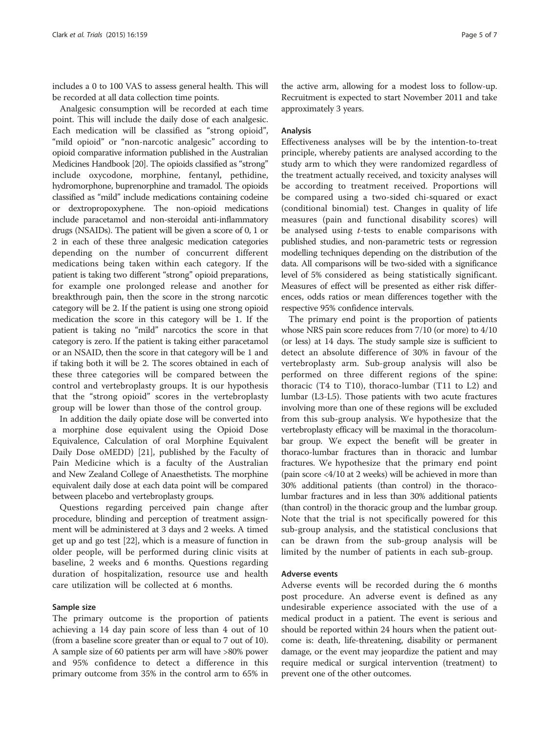includes a 0 to 100 VAS to assess general health. This will be recorded at all data collection time points.

Analgesic consumption will be recorded at each time point. This will include the daily dose of each analgesic. Each medication will be classified as "strong opioid", "mild opioid" or "non-narcotic analgesic" according to opioid comparative information published in the Australian Medicines Handbook [\[20](#page-6-0)]. The opioids classified as "strong" include oxycodone, morphine, fentanyl, pethidine, hydromorphone, buprenorphine and tramadol. The opioids classified as "mild" include medications containing codeine or dextropropoxyphene. The non-opioid medications include paracetamol and non-steroidal anti-inflammatory drugs (NSAIDs). The patient will be given a score of 0, 1 or 2 in each of these three analgesic medication categories depending on the number of concurrent different medications being taken within each category. If the patient is taking two different "strong" opioid preparations, for example one prolonged release and another for breakthrough pain, then the score in the strong narcotic category will be 2. If the patient is using one strong opioid medication the score in this category will be 1. If the patient is taking no "mild" narcotics the score in that category is zero. If the patient is taking either paracetamol or an NSAID, then the score in that category will be 1 and if taking both it will be 2. The scores obtained in each of these three categories will be compared between the control and vertebroplasty groups. It is our hypothesis that the "strong opioid" scores in the vertebroplasty group will be lower than those of the control group.

In addition the daily opiate dose will be converted into a morphine dose equivalent using the Opioid Dose Equivalence, Calculation of oral Morphine Equivalent Daily Dose oMEDD) [[21\]](#page-6-0), published by the Faculty of Pain Medicine which is a faculty of the Australian and New Zealand College of Anaesthetists. The morphine equivalent daily dose at each data point will be compared between placebo and vertebroplasty groups.

Questions regarding perceived pain change after procedure, blinding and perception of treatment assignment will be administered at 3 days and 2 weeks. A timed get up and go test [\[22](#page-6-0)], which is a measure of function in older people, will be performed during clinic visits at baseline, 2 weeks and 6 months. Questions regarding duration of hospitalization, resource use and health care utilization will be collected at 6 months.

#### Sample size

The primary outcome is the proportion of patients achieving a 14 day pain score of less than 4 out of 10 (from a baseline score greater than or equal to 7 out of 10). A sample size of 60 patients per arm will have >80% power and 95% confidence to detect a difference in this primary outcome from 35% in the control arm to 65% in

the active arm, allowing for a modest loss to follow-up. Recruitment is expected to start November 2011 and take approximately 3 years.

## Analysis

Effectiveness analyses will be by the intention-to-treat principle, whereby patients are analysed according to the study arm to which they were randomized regardless of the treatment actually received, and toxicity analyses will be according to treatment received. Proportions will be compared using a two-sided chi-squared or exact (conditional binomial) test. Changes in quality of life measures (pain and functional disability scores) will be analysed using  $t$ -tests to enable comparisons with published studies, and non-parametric tests or regression modelling techniques depending on the distribution of the data. All comparisons will be two-sided with a significance level of 5% considered as being statistically significant. Measures of effect will be presented as either risk differences, odds ratios or mean differences together with the respective 95% confidence intervals.

The primary end point is the proportion of patients whose NRS pain score reduces from 7/10 (or more) to 4/10 (or less) at 14 days. The study sample size is sufficient to detect an absolute difference of 30% in favour of the vertebroplasty arm. Sub-group analysis will also be performed on three different regions of the spine: thoracic (T4 to T10), thoraco-lumbar (T11 to L2) and lumbar (L3-L5). Those patients with two acute fractures involving more than one of these regions will be excluded from this sub-group analysis. We hypothesize that the vertebroplasty efficacy will be maximal in the thoracolumbar group. We expect the benefit will be greater in thoraco-lumbar fractures than in thoracic and lumbar fractures. We hypothesize that the primary end point (pain score <4/10 at 2 weeks) will be achieved in more than 30% additional patients (than control) in the thoracolumbar fractures and in less than 30% additional patients (than control) in the thoracic group and the lumbar group. Note that the trial is not specifically powered for this sub-group analysis, and the statistical conclusions that can be drawn from the sub-group analysis will be limited by the number of patients in each sub-group.

#### Adverse events

Adverse events will be recorded during the 6 months post procedure. An adverse event is defined as any undesirable experience associated with the use of a medical product in a patient. The event is serious and should be reported within 24 hours when the patient outcome is: death, life-threatening, disability or permanent damage, or the event may jeopardize the patient and may require medical or surgical intervention (treatment) to prevent one of the other outcomes.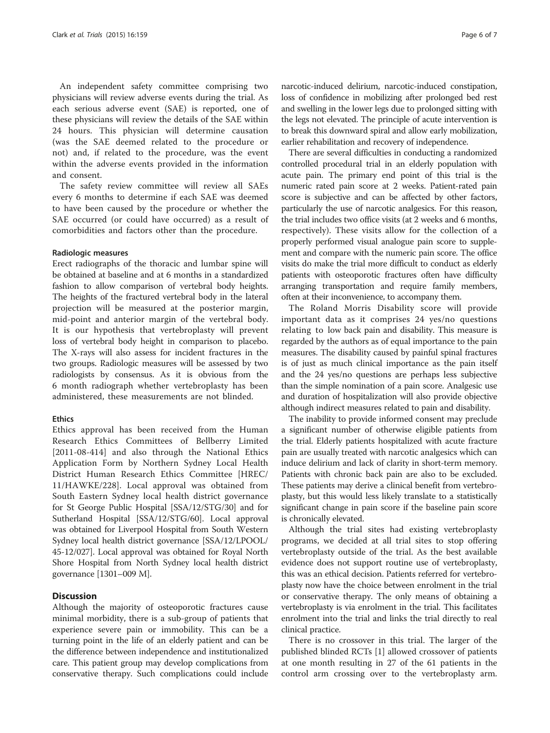An independent safety committee comprising two physicians will review adverse events during the trial. As each serious adverse event (SAE) is reported, one of these physicians will review the details of the SAE within 24 hours. This physician will determine causation (was the SAE deemed related to the procedure or not) and, if related to the procedure, was the event within the adverse events provided in the information and consent.

The safety review committee will review all SAEs every 6 months to determine if each SAE was deemed to have been caused by the procedure or whether the SAE occurred (or could have occurred) as a result of comorbidities and factors other than the procedure.

#### Radiologic measures

Erect radiographs of the thoracic and lumbar spine will be obtained at baseline and at 6 months in a standardized fashion to allow comparison of vertebral body heights. The heights of the fractured vertebral body in the lateral projection will be measured at the posterior margin, mid-point and anterior margin of the vertebral body. It is our hypothesis that vertebroplasty will prevent loss of vertebral body height in comparison to placebo. The X-rays will also assess for incident fractures in the two groups. Radiologic measures will be assessed by two radiologists by consensus. As it is obvious from the 6 month radiograph whether vertebroplasty has been administered, these measurements are not blinded.

# **Ethics**

Ethics approval has been received from the Human Research Ethics Committees of Bellberry Limited [2011-08-414] and also through the National Ethics Application Form by Northern Sydney Local Health District Human Research Ethics Committee [HREC/ 11/HAWKE/228]. Local approval was obtained from South Eastern Sydney local health district governance for St George Public Hospital [SSA/12/STG/30] and for Sutherland Hospital [SSA/12/STG/60]. Local approval was obtained for Liverpool Hospital from South Western Sydney local health district governance [SSA/12/LPOOL/ 45-12/027]. Local approval was obtained for Royal North Shore Hospital from North Sydney local health district governance [1301–009 M].

# **Discussion**

Although the majority of osteoporotic fractures cause minimal morbidity, there is a sub-group of patients that experience severe pain or immobility. This can be a turning point in the life of an elderly patient and can be the difference between independence and institutionalized care. This patient group may develop complications from conservative therapy. Such complications could include

narcotic-induced delirium, narcotic-induced constipation, loss of confidence in mobilizing after prolonged bed rest and swelling in the lower legs due to prolonged sitting with the legs not elevated. The principle of acute intervention is to break this downward spiral and allow early mobilization, earlier rehabilitation and recovery of independence.

There are several difficulties in conducting a randomized controlled procedural trial in an elderly population with acute pain. The primary end point of this trial is the numeric rated pain score at 2 weeks. Patient-rated pain score is subjective and can be affected by other factors, particularly the use of narcotic analgesics. For this reason, the trial includes two office visits (at 2 weeks and 6 months, respectively). These visits allow for the collection of a properly performed visual analogue pain score to supplement and compare with the numeric pain score. The office visits do make the trial more difficult to conduct as elderly patients with osteoporotic fractures often have difficulty arranging transportation and require family members, often at their inconvenience, to accompany them.

The Roland Morris Disability score will provide important data as it comprises 24 yes/no questions relating to low back pain and disability. This measure is regarded by the authors as of equal importance to the pain measures. The disability caused by painful spinal fractures is of just as much clinical importance as the pain itself and the 24 yes/no questions are perhaps less subjective than the simple nomination of a pain score. Analgesic use and duration of hospitalization will also provide objective although indirect measures related to pain and disability.

The inability to provide informed consent may preclude a significant number of otherwise eligible patients from the trial. Elderly patients hospitalized with acute fracture pain are usually treated with narcotic analgesics which can induce delirium and lack of clarity in short-term memory. Patients with chronic back pain are also to be excluded. These patients may derive a clinical benefit from vertebroplasty, but this would less likely translate to a statistically significant change in pain score if the baseline pain score is chronically elevated.

Although the trial sites had existing vertebroplasty programs, we decided at all trial sites to stop offering vertebroplasty outside of the trial. As the best available evidence does not support routine use of vertebroplasty, this was an ethical decision. Patients referred for vertebroplasty now have the choice between enrolment in the trial or conservative therapy. The only means of obtaining a vertebroplasty is via enrolment in the trial. This facilitates enrolment into the trial and links the trial directly to real clinical practice.

There is no crossover in this trial. The larger of the published blinded RCTs [\[1\]](#page-6-0) allowed crossover of patients at one month resulting in 27 of the 61 patients in the control arm crossing over to the vertebroplasty arm.